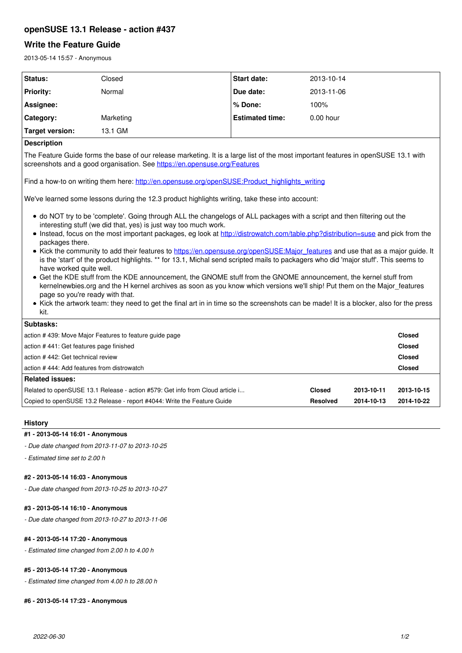# **openSUSE 13.1 Release - action #437**

# **Write the Feature Guide**

2013-05-14 15:57 - Anonymous

| Status:          | Closed    | <b>Start date:</b>     | 2013-10-14  |
|------------------|-----------|------------------------|-------------|
| <b>Priority:</b> | Normal    | Due date:              | 2013-11-06  |
| Assignee:        |           | l % Done:              | 100%        |
| Category:        | Marketing | <b>Estimated time:</b> | $0.00$ hour |
| Target version:  | 13.1 GM   |                        |             |

# **Description**

The Feature Guide forms the base of our release marketing. It is a large list of the most important features in openSUSE 13.1 with screenshots and a good organisation. See<https://en.opensuse.org/Features>

Find a how-to on writing them here: [http://en.opensuse.org/openSUSE:Product\\_highlights\\_writing](http://en.opensuse.org/openSUSE:Product_highlights_writing)

We've learned some lessons during the 12.3 product highlights writing, take these into account:

- do NOT try to be 'complete'. Going through ALL the changelogs of ALL packages with a script and then filtering out the interesting stuff (we did that, yes) is just way too much work.
- Instead, focus on the most important packages, eg look at<http://distrowatch.com/table.php?distribution=suse> and pick from the packages there.
- Kick the community to add their features to [https://en.opensuse.org/openSUSE:Major\\_features](https://en.opensuse.org/openSUSE:Major_features) and use that as a major guide. It is the 'start' of the product highlights. \*\* for 13.1, Michal send scripted mails to packagers who did 'major stuff'. This seems to have worked quite well.
- Get the KDE stuff from the KDE announcement, the GNOME stuff from the GNOME announcement, the kernel stuff from kernelnewbies.org and the H kernel archives as soon as you know which versions we'll ship! Put them on the Major features page so you're ready with that.
- Kick the artwork team: they need to get the final art in in time so the screenshots can be made! It is a blocker, also for the press kit.

| <b>Subtasks:</b>                                                              |                 |            |            |  |  |
|-------------------------------------------------------------------------------|-----------------|------------|------------|--|--|
| action #439: Move Major Features to feature guide page                        |                 |            |            |  |  |
| action #441: Get features page finished                                       |                 |            |            |  |  |
| action #442: Get technical review                                             |                 |            |            |  |  |
| l action # 444: Add features from distrowatch                                 |                 |            |            |  |  |
| Related issues:                                                               |                 |            |            |  |  |
| Related to openSUSE 13.1 Release - action #579: Get info from Cloud article i | <b>Closed</b>   | 2013-10-11 | 2013-10-15 |  |  |
| Copied to openSUSE 13.2 Release - report #4044: Write the Feature Guide       | <b>Resolved</b> | 2014-10-13 | 2014-10-22 |  |  |
|                                                                               |                 |            |            |  |  |

# **History**

### **#1 - 2013-05-14 16:01 - Anonymous**

*- Due date changed from 2013-11-07 to 2013-10-25*

*- Estimated time set to 2.00 h*

### **#2 - 2013-05-14 16:03 - Anonymous**

*- Due date changed from 2013-10-25 to 2013-10-27*

### **#3 - 2013-05-14 16:10 - Anonymous**

*- Due date changed from 2013-10-27 to 2013-11-06*

### **#4 - 2013-05-14 17:20 - Anonymous**

*- Estimated time changed from 2.00 h to 4.00 h*

### **#5 - 2013-05-14 17:20 - Anonymous**

*- Estimated time changed from 4.00 h to 28.00 h*

### **#6 - 2013-05-14 17:23 - Anonymous**